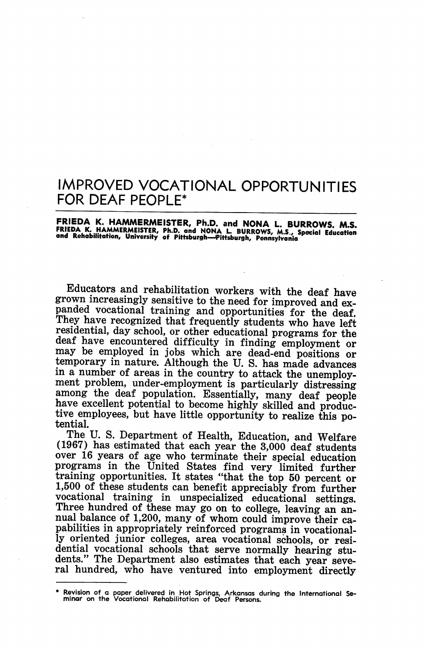# IMPROVED VOCATIONAL OPPORTUNITIES FOR DEAF PEOPLE\*

## FRIEDA K. HAMMERMEISTER, Ph.D. and NONA L. BURROWS. M.S. FRIEDA K. HAMMERMEISTER, Ph.D. and NONA L. BURROWS, M.S., Special Education<br>and Rehabilitation, University of Pittsburgh—Pittsburgh, Pennsylvania

Educators and rehabilitation workers with the deaf have grown increasingly sensitive to the need for improved and expanded vocational training and opportunities for the deaf. They have recognized that frequently students who have left residential, day school, or other educational programs for the deaf have encountered difficulty in finding employment or may be employed in jobs which are dead-end positions or temporary in nature. Although the U. S. has made advances in a number of areas in the country to attack the unemploy ment problem, under-employment is particularly distressing among the deaf population. Essentially, many deaf people have excellent potential to become highly skilled and productive employees, but have little opportunity to realize this po tential.

The U. S. Department of Health, Education, and Welfare (1967) has estimated that each year the 3,000 deaf students over 16 years of age who terminate their special education programs in the United States find very limited further training opportunities. It states "that the top 50 percent or 1,500 of these students can benefit appreciably from further vocational training in unspecialized educational settings. Three hundred of these may go on to college, leaving an an nual balance of 1,200, many of whom could improve their ca pabilities in appropriately reinforced programs in vocational ly oriented junior colleges, area vocational schools, or resi dential vocational schools that serve normally hearing stu dents." The Department also estimates that each year seve ral hundred, who have ventured into employment directly

<sup>\*</sup> Revision of a paper delivered in Hot Springs, Arkansas during the International Se minar on the Vocational Rehabilitation of Deaf Persons.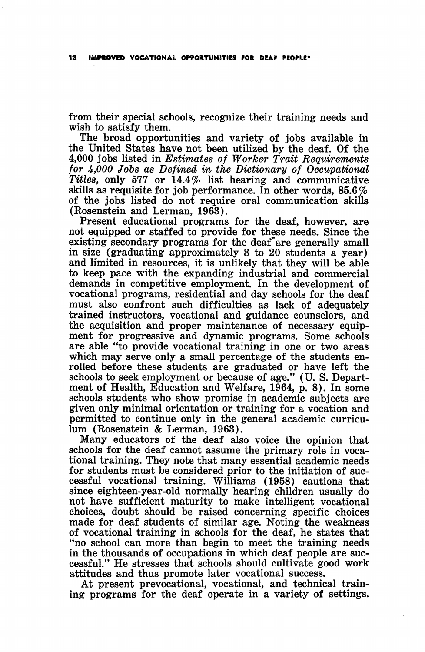from their special schools, recognize their training needs and wish to satisfy them.

The broad opportunities and variety of jobs available in the United States have not been utilized by the deaf. Of the 4,000 jobs listed in Estimates of Worker Trait Requirements for A,000 Jobs as Defined in the Dictionary of Occupational Titles, only 577 or  $14.4\%$  list hearing and communicative skills as requisite for job performance. In other words, 85.6% of the jobs listed do not require oral communication skills (Rosenstein and Lerman, 1963).

Present educational programs for the deaf, however, are not equipped or staffed to provide for these needs. Since the existing secondary programs for the deaf'are generally small in size (graduating approximately 8 to 20 students a year) and limited in resources, it is unlikely that they will be able to keep pace with the expanding industrial and commercial demands in competitive employment. In the development of vocational programs, residential and day schools for the deaf must also confront such difficulties as lack of adequately trained instructors, vocational and guidance counselors, and the acquisition and proper maintenance of necessary equip ment for progressive and dynamic programs. Some schools are able "to provide vocational training in one or two areas which may serve only a small percentage of the students en rolled before these students are graduated or have left the schools to seek employment or because of age." (U. S. Depart ment of Health, Education and Welfare, 1964, p. 8). In some schools students who show promise in academic subjects are given only minimal orientation or training for a vocation and permitted to continue only in the general academic curricu lum (Rosenstein & Lerman, 1963).

Many educators of the deaf also voice the opinion that schools for the deaf cannot assume the primary role in voca tional training. They note that many essential academic needs for students must be considered prior to the initiation of suc cessful vocational training. Williams (1958) cautions that since eighteen-year-old normally hearing children usually do not have sufficient maturity to make intelligent vocational choices, doubt should be raised concerning specific choices made for deaf students of similar age. Noting the weakness of vocational training in schools for the deaf, he states that "no school can more than begin to meet the training needs in the thousands of occupations in which deaf people are suc cessful." He stresses that schools should cultivate good work attitudes and thus promote later vocational success.

At present prevocational, vocational, and technical train ing programs for the deaf operate in a variety of settings.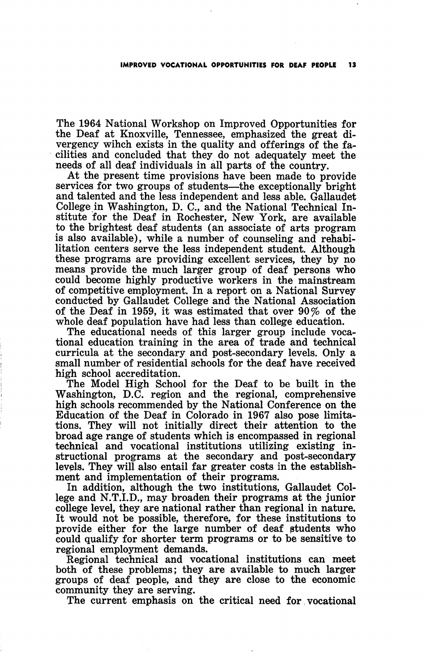The 1964 National Workshop on Improved Opportunities for the Deaf at Knoxville, Tennessee, emphasized the great di vergency wihch exists in the quality and offerings of the fa cilities and concluded that they do not adequately meet the needs of all deaf individuals in all parts of the country.

At the present time provisions have been made to provide services for two groups of students—^the exceptionally bright and talented and the less independent and less able. Gallaudet College in Washington, D. C., and the National Technical In stitute for the Deaf in Rochester, New York, are available to the brightest deaf students (an associate of arts program is also available), while a number of counseling and rehabi litation centers serve the less independent student. Although these programs are providing excellent services, they by no means provide the much larger group of deaf persons who could become highly productive workers in the mainstream of competitive employment. In a report on a National Survey conducted by Gallaudet College and the National Association of the Deaf in 1959, it was estimated that over 90% of the whole deaf population have had less than college education.

The educational needs of this larger group include voca tional education training in the area of trade and technical curricula at the secondary and post-secondary levels. Only a small number of residential schools for the deaf have received high school accreditation.

The Model High School for the Deaf to be built in the Washington, D.C. region and the regional, comprehensive high schools recommended by the National Conference on the Education of the Deaf in Colorado in 1967 also pose limita tions. They will not initially direct their attention to the broad age range of students which is encompassed in regional technical and vocational institutions utilizing existing in structional programs at the secondary and post-secondary levels. They will also entail far greater costs in the establishment and implementation of their programs.

In addition, although the two institutions, Gallaudet Col lege and N.T.I.D., may broaden their programs at the junior college level, they are national rather than regional in nature. It would not be possible, therefore, for these institutions to provide either for the large number of deaf students who could qualify for shorter term programs or to be sensitive to regional employment demands.

Regional technical and vocational institutions can meet both of these problems; they are available to much larger groups of deaf people, and they are close to the economic community they are serving.

The current emphasis on the critical need for vocational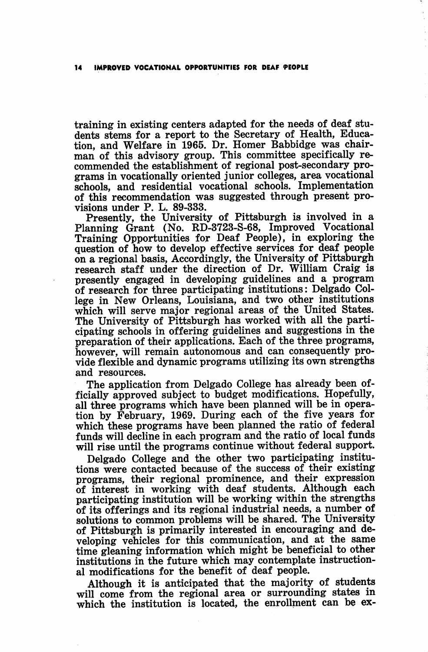training in existing centers adapted for the needs of deaf stu dents stems for a report to the Secretary of Health, Educa tion, and Welfare in 1965. Dr. Homer Babbidge was chair man of this advisory group. This committee specifically re commended the establishment of regional post-secondary pro grams in vocationally oriented junior colleges, area vocational schools, and residential vocational schools. Implementation of this recommendation was suggested through present pro visions under P. L. 89-333.

Presently, the University of Pittsburgh is involved in a Planning Grant (No. RD-3723-S-68, Improved Vocational Training Opportunities for Deaf People), in exploring the question of how to develop effective services for deaf people on a regional basis. Accordingly, the University of Pittsburgh research staff under the direction of Dr. William Craig is presently engaged in developing guidelines and a program of research for three participating institutions: Delgado College in New Orleans, Louisiana, and two other institutions which will serve major regional areas of the United States. The University of Pittsburgh has worked with all the parti cipating schools in offering guidelines and suggestions in the preparation of their applications. Each of the three programs, however, will remain autonomous and can consequently provide flexible and dynamic programs utilizing its own strengths and resources.

The application from Delgado College has already been officially approved subject to budget modifications. Hopefully, all three programs which have been planned will be in opera tion by February, 1969. During each of the five years for which these programs have been planned the ratio of federal funds will decline in each program and the ratio of local funds will rise until the programs continue without federal support.

Delgado College and the other two participating institu tions were contacted because of the success of their existing programs, their regional prominence, and their expression of interest in working with deaf students. Although each participating institution will be working within the strengths of ite offerings and its regional industrial needs, a number of solutions to common problems will be shared. The University of Pittsburgh is primarily interested in encouraging and de veloping vehicles for this communication, and at the same time gleaning information which might be beneficial to other institutions in the future which may contemplate instruction al modifications for the benefit of deaf people.

Although it is anticipated that the majority of students will come from the regional area or surrounding states in which the institution is located, the enrollment can be ex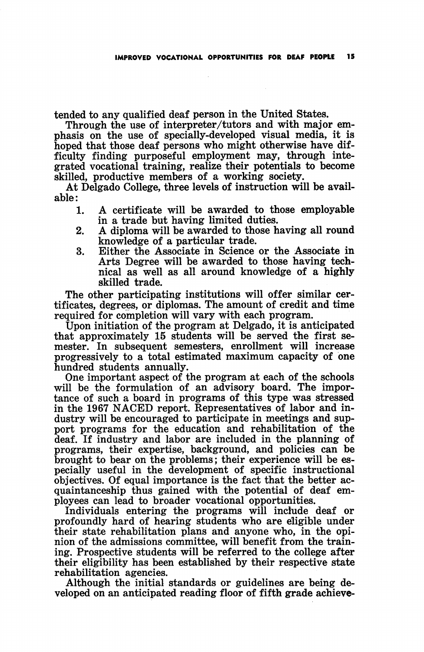tended to any qualified deaf person in the United States.

Through the use of interpreter/tutors and with major em phasis on the use of specially-developed visual media, it is hoped that those deaf persons who might otherwise have dif ficulty finding purposeful employment may, through integrated vocational training, realize their potentials to become skilled, productive members of a working society.

At Delgado College, three levels of instruction will be avail able:

- 1. A certificate will be awarded to those employable in a trade but having limited duties.
- 2. A diploma will be awarded to those having all round knowledge of a particular trade.
- 3. Either the Associate in Science or the Associate in Arts Degree will be awarded to those having tech nical as well as all around knowledge of a highly skilled trade.

The other participating institutions will offer similar cer tificates, degrees, or diplomas. The amount of credit and time required for completion will vary with each program.

Upon initiation of the program at Delgado, it is anticipated that approximately 15 students will be served the first se mester. In subsequent semesters, enrollment will increase progressively to a total estimated maximum capacity of one hundred students annually.

One important aspect of the program at each of the schools will be the formulation of an advisory board. The importance of such a board in programs of this type was stressed in the 1967 NACED report. Representatives of labor and in dustry will be encouraged to participate in meetings and sup port programs for the education and rehabilitation of the deaf. If industry and labor are included in the planning of programs, their expertise, background, and policies can be brought to bear on the problems; their experience will be es pecially useful in the development of specific instructional objectives. Of equal importance is the fact that the better ac quaintanceship thus gained with the potential of deaf em ployees can lead to broader vocational opportunities.

Individuals entering the programs will include deaf or profoundly hard of hearing students who are eligible under their state rehabilitation plans and anyone who, in the opi nion of the admissions committee, will benefit from the train ing. Prospective students will be referred to the college after their eligibility has been established by their respective state rehabilitation agencies.

Although the initial standards or guidelines are being de veloped on an anticipated reading floor of fifth grade achieve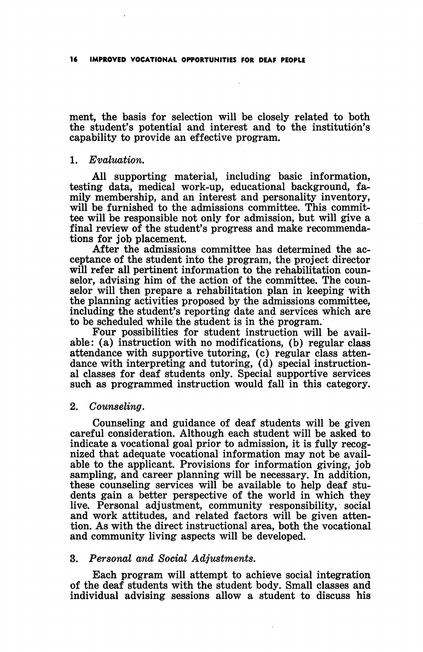ment, the basis for selection will be closely related to both the student's potential and interest and to the institution's capability to provide an effective program.

#### 1. Evaluation.

All supporting material, including basic information, testing data, medical work-up, educational background, fa mily membership, and an interest and personality inventory, will be furnished to the admissions committee. This committee will be responsible not only for admission, but will give a final review of the student's progress and make recommenda tions for job placement.

After the admissions committee has determined the ac ceptance of the student into the program, the project director will refer all pertinent information to the rehabilitation counselor, advising him of the action of the committee. The coun selor will then prepare a rehabilitation plan in keeping with the planning activities proposed by the admissions committee, including the student's reporting date and services which are to be scheduled while the student is in the program.

Four possibilities for student instruction will be avail able: (a) instruction with no modifications, (b) regular class attendance with supportive tutoring, (c) regular class atten dance with interpreting and tutoring, (d) special instructional classes for deaf students only. Special supportive services such as programmed instruction would fall in this category.

## 2. Counseling.

Counseling and guidance of deaf students will be given careful consideration. Although each student will be asked to indicate a vocational goal prior to admission, it is fully recog nized that adequate vocational information may not be avail able to the applicant. Provisions for information giving, job sampling, and career planning will be necessary. In addition, these counseling services will be available to help deaf stu dents gain a better perspective of the world in which they live. Personal adjustment, community responsibility, social and work attitudes, and related factors will be given atten tion. As with the direct instructional area, both the vocational and community living aspects will be developed.

## 3. Personal and Social Adjustments.

Each program will attempt to achieve social integration of the deaf students with the student body. Small classes and individual advising sessions allow a student to discuss his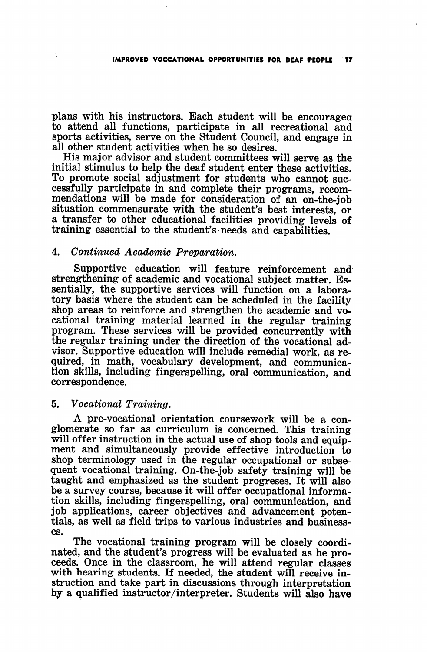plans with his instructors. Each student will be encouragea to attend all functions, participate in all recreational and sports activities, serve on the Student Council, and engage in all other student activities when he so desires.

His major advisor and student committees will serve as the initial stimulus to help the deaf student enter these activities. To promote social adjustment for students who cannot suc cessfully participate in and complete their programs, recom mendations will be made for consideration of an on-the-job situation commensurate with the student's best interests, or a transfer to other educational facilities providing levels of training essential to the student's needs and capabilities.

## 4. Continued Academic Preparation.

Supportive education will feature reinforcement and strengthening of academic and vocational subject matter. Essentially, the supportive services will function on a labora tory basis where the student can be scheduled in the facility shop areas to reinforce and strengthen the academic and vo cational training material learned in the regular training program. These services will be provided concurrently with the regular training under the direction of the vocational ad visor. Supportive education will include remedial work, as re quired, in math, vocabulary development, and communica tion skills, including fingerspelling, oral communication, and correspondence.

#### 5. Vocational Training.

A pre-vocational orientation coursework will be a con glomerate so far as curriculum is concerned. This training will offer instruction in the actual use of shop tools and equip ment and simultaneously provide effective introduction to shop terminology used in the regular occupational or subse quent vocational training. On-the-job safety training will be taught and emphasized as the student progreses. It will also be a survey course, because it will offer occupational informa tion skills, including fingerspelling, oral communication, and job applications, career objectives and advancement poten tials, as well as field trips to various industries and business es.

The vocational training program will be closely coordi nated, and the student's progress will be evaluated as he pro ceeds. Once in the classroom, he will attend regular classes with hearing students. If needed, the student will receive in struction and take part in discussions through interpretation by a qualified instructor/interpreter. Students will also have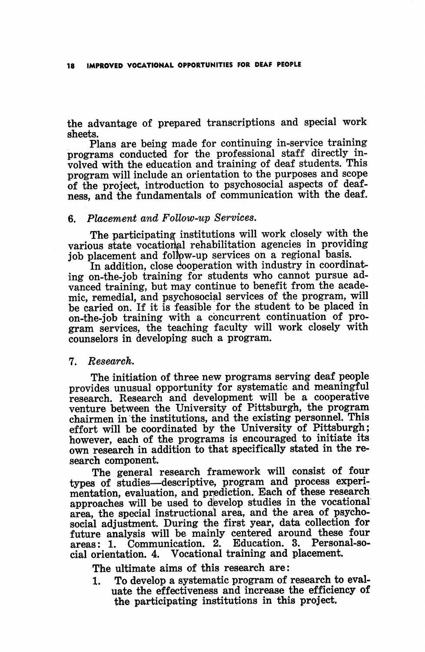the advantage of prepared transcriptions and special work sheets.

Plans are being made for continuing in-service training programs conducted for the professional staff directly in volved with the education and training of deaf students. This program will include an orientation to the purposes and scope of the project, introduction to psychosocial aspects of deaf ness, and the fundamentals of communication with the deaf.

## 6. Placement and Follow-up Services.

The participating institutions will work closely with the various state vocational rehabilitation agencies in providing job placement and follow-up services on a regional basis.

In addition, close cooperation with industry in coordinating on-the-job training for students who cannot pursue ad vanced training, but may continue to benefit from the acade mic, remedial, and psychosocial services of the program, will be caried on. If it is feasible for the student to be placed in on-the-job training with a concurrent continuation of pro gram services, the teaching faculty will work closely with counselors in developing such a program.

#### 7. Research.

The initiation of three new programs serving deaf people provides unusual opportunity for systematic and meaningful research. Research and development will be a cooperative venture between the University of Pittsburgh, the program chairmen in the institutions, and the existing personnel. This effort will be coordinated by the University of Pittsburgh; however, each of the programs is encouraged to initiate its own research in addition to that specifically stated in the re search component.

The general research framework will consist of four types of studies—descriptive, program and process experi mentation, evaluation, and prediction. Each of these research approaches will be used to develop studies in the vocational area, the special instructional area, and the area of psycho social adjustment. During the first year, data collection for future analysis will be mainly centered around these four areas: 1. Communication. 2. cial orientation. 4. Vocational training and placement.

The ultimate aims of this research are:

I. To develop a systematic program of research to eval uate the effectiveness and increase the efficiency of the participating institutions in this project.